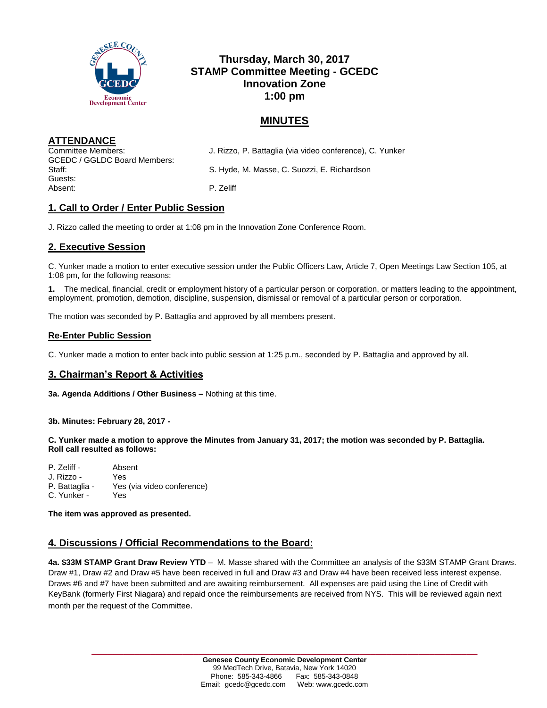

# **Thursday, March 30, 2017 STAMP Committee Meeting - GCEDC Innovation Zone 1:00 pm**

## **MINUTES**

**ATTENDANCE**

GCEDC / GGLDC Board Members: Guests: Absent: P. Zeliff

Committee Members: J. Rizzo, P. Battaglia (via video conference), C. Yunker

Staff: S. Hyde, M. Masse, C. Suozzi, E. Richardson

## **1. Call to Order / Enter Public Session**

J. Rizzo called the meeting to order at 1:08 pm in the Innovation Zone Conference Room.

## **2. Executive Session**

C. Yunker made a motion to enter executive session under the Public Officers Law, Article 7, Open Meetings Law Section 105, at 1:08 pm, for the following reasons:

**1.** The medical, financial, credit or employment history of a particular person or corporation, or matters leading to the appointment, employment, promotion, demotion, discipline, suspension, dismissal or removal of a particular person or corporation.

The motion was seconded by P. Battaglia and approved by all members present.

### **Re-Enter Public Session**

C. Yunker made a motion to enter back into public session at 1:25 p.m., seconded by P. Battaglia and approved by all.

## **3. Chairman's Report & Activities**

**3a. Agenda Additions / Other Business –** Nothing at this time.

### **3b. Minutes: February 28, 2017 -**

**C. Yunker made a motion to approve the Minutes from January 31, 2017; the motion was seconded by P. Battaglia. Roll call resulted as follows:**

| P. Zeliff -    | Absent                     |
|----------------|----------------------------|
| J. Rizzo -     | Yes                        |
| P. Battaglia - | Yes (via video conference) |
| C. Yunker -    | <b>Yes</b>                 |

**The item was approved as presented.**

## **4. Discussions / Official Recommendations to the Board:**

**4a. \$33M STAMP Grant Draw Review YTD** – M. Masse shared with the Committee an analysis of the \$33M STAMP Grant Draws. Draw #1, Draw #2 and Draw #5 have been received in full and Draw #3 and Draw #4 have been received less interest expense. Draws #6 and #7 have been submitted and are awaiting reimbursement. All expenses are paid using the Line of Credit with KeyBank (formerly First Niagara) and repaid once the reimbursements are received from NYS. This will be reviewed again next month per the request of the Committee.

**\_\_\_\_\_\_\_\_\_\_\_\_\_\_\_\_\_\_\_\_\_\_\_\_\_\_\_\_\_\_\_\_\_\_\_\_\_\_\_\_\_\_\_\_\_\_\_\_\_\_\_\_\_\_\_\_\_\_\_\_\_\_\_\_\_\_\_\_\_\_\_\_**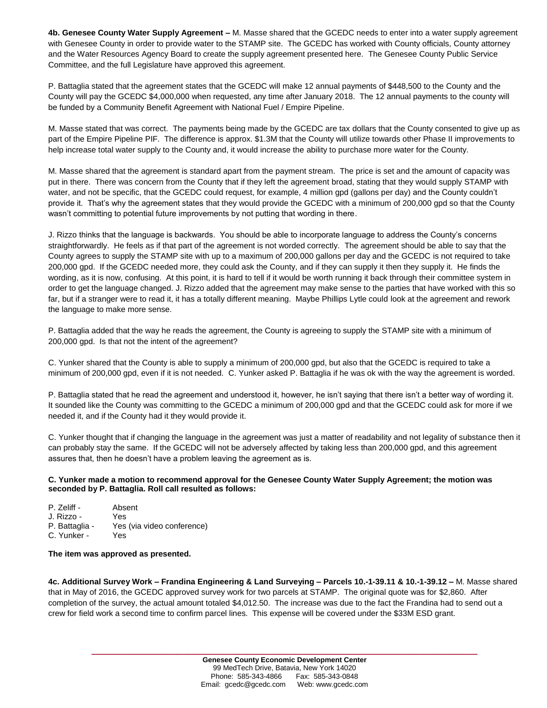**4b. Genesee County Water Supply Agreement –** M. Masse shared that the GCEDC needs to enter into a water supply agreement with Genesee County in order to provide water to the STAMP site. The GCEDC has worked with County officials, County attorney and the Water Resources Agency Board to create the supply agreement presented here. The Genesee County Public Service Committee, and the full Legislature have approved this agreement.

P. Battaglia stated that the agreement states that the GCEDC will make 12 annual payments of \$448,500 to the County and the County will pay the GCEDC \$4,000,000 when requested, any time after January 2018. The 12 annual payments to the county will be funded by a Community Benefit Agreement with National Fuel / Empire Pipeline.

M. Masse stated that was correct. The payments being made by the GCEDC are tax dollars that the County consented to give up as part of the Empire Pipeline PIF. The difference is approx. \$1.3M that the County will utilize towards other Phase II improvements to help increase total water supply to the County and, it would increase the ability to purchase more water for the County.

M. Masse shared that the agreement is standard apart from the payment stream. The price is set and the amount of capacity was put in there. There was concern from the County that if they left the agreement broad, stating that they would supply STAMP with water, and not be specific, that the GCEDC could request, for example, 4 million gpd (gallons per day) and the County couldn't provide it. That's why the agreement states that they would provide the GCEDC with a minimum of 200,000 gpd so that the County wasn't committing to potential future improvements by not putting that wording in there.

J. Rizzo thinks that the language is backwards. You should be able to incorporate language to address the County's concerns straightforwardly. He feels as if that part of the agreement is not worded correctly. The agreement should be able to say that the County agrees to supply the STAMP site with up to a maximum of 200,000 gallons per day and the GCEDC is not required to take 200,000 gpd. If the GCEDC needed more, they could ask the County, and if they can supply it then they supply it. He finds the wording, as it is now, confusing. At this point, it is hard to tell if it would be worth running it back through their committee system in order to get the language changed. J. Rizzo added that the agreement may make sense to the parties that have worked with this so far, but if a stranger were to read it, it has a totally different meaning. Maybe Phillips Lytle could look at the agreement and rework the language to make more sense.

P. Battaglia added that the way he reads the agreement, the County is agreeing to supply the STAMP site with a minimum of 200,000 gpd. Is that not the intent of the agreement?

C. Yunker shared that the County is able to supply a minimum of 200,000 gpd, but also that the GCEDC is required to take a minimum of 200,000 gpd, even if it is not needed. C. Yunker asked P. Battaglia if he was ok with the way the agreement is worded.

P. Battaglia stated that he read the agreement and understood it, however, he isn't saying that there isn't a better way of wording it. It sounded like the County was committing to the GCEDC a minimum of 200,000 gpd and that the GCEDC could ask for more if we needed it, and if the County had it they would provide it.

C. Yunker thought that if changing the language in the agreement was just a matter of readability and not legality of substance then it can probably stay the same. If the GCEDC will not be adversely affected by taking less than 200,000 gpd, and this agreement assures that, then he doesn't have a problem leaving the agreement as is.

### **C. Yunker made a motion to recommend approval for the Genesee County Water Supply Agreement; the motion was seconded by P. Battaglia. Roll call resulted as follows:**

| P. Zeliff -    | Absent                     |
|----------------|----------------------------|
| J. Rizzo -     | Yes                        |
| P. Battaglia - | Yes (via video conference) |
| C. Yunker -    | Yes                        |

#### **The item was approved as presented.**

**4c. Additional Survey Work – Frandina Engineering & Land Surveying – Parcels 10.-1-39.11 & 10.-1-39.12 –** M. Masse shared that in May of 2016, the GCEDC approved survey work for two parcels at STAMP. The original quote was for \$2,860. After completion of the survey, the actual amount totaled \$4,012.50. The increase was due to the fact the Frandina had to send out a crew for field work a second time to confirm parcel lines. This expense will be covered under the \$33M ESD grant.

**\_\_\_\_\_\_\_\_\_\_\_\_\_\_\_\_\_\_\_\_\_\_\_\_\_\_\_\_\_\_\_\_\_\_\_\_\_\_\_\_\_\_\_\_\_\_\_\_\_\_\_\_\_\_\_\_\_\_\_\_\_\_\_\_\_\_\_\_\_\_\_\_**